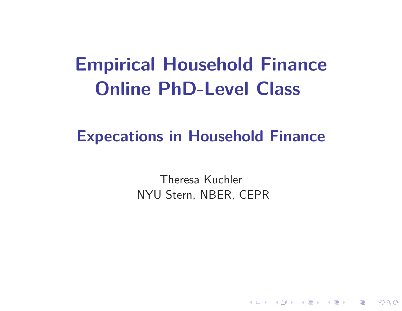# **Empirical Household FinanceOnline PhD-Level Class**

### **Expecations in Household Finance**

Theresa KuchlerNYU Stern, NBER, CEPR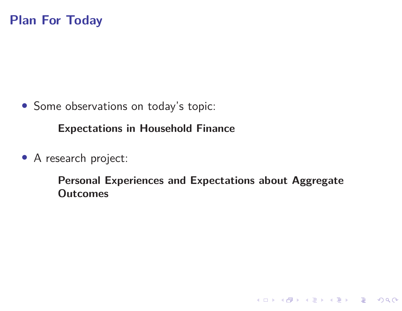• Some observations on today's topic:

**Expectations in Household Finance**

• <sup>A</sup> research project:

**Personal Experiences and Expectations about AggregateOutcomes**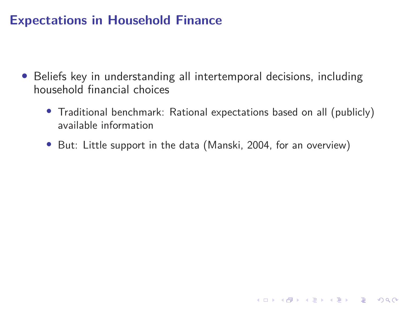### **Expectations in Household Finance**

- • Beliefs key in understanding all intertemporal decisions, includinghousehold financial choices
	- Traditional benchmark: Rational expectations based on all (publicly)available information
	- But: Little support in the data (Manski, 2004, for an overview)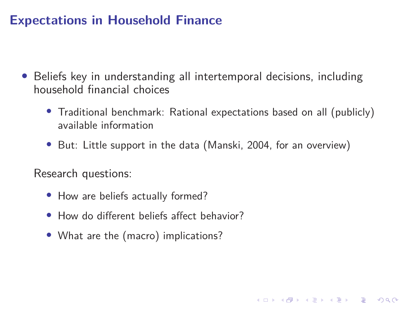### **Expectations in Household Finance**

- • Beliefs key in understanding all intertemporal decisions, includinghousehold financial choices
	- Traditional benchmark: Rational expectations based on all (publicly)available information

4 ロ > 4 何 > 4 ミ > 4 ミ > ニ = 0 9 Q Q

• But: Little support in the data (Manski, 2004, for an overview)

Research questions:

- How are beliefs actually formed?
- How do different beliefs affect behavior?
- What are the (macro) implications?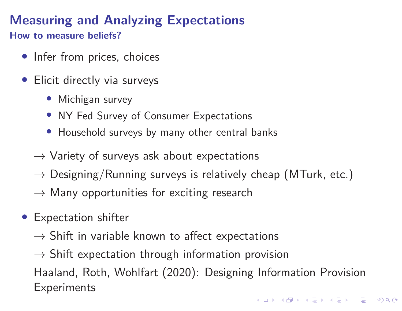## **Measuring and Analyzing Expectations**

**How to measure beliefs?**

- Infer from prices, choices
- $\bullet$  Elicit directly via surveys
	- Michigan survey
	- NY Fed Survey of Consumer Expectations
	- Household surveys by many other central banks
	- $\rightarrow$  Variety of surveys ask about expectations
	- $\rightarrow$  Designing/Running surveys is relatively cheap (MTurk, etc.)
	- $\rightarrow$  Many opportunities for exciting research
- Expectation shifter
	- $\rightarrow$  Shift in variable known to affect expectations
	- $\rightarrow$  Shift expectation through information provision

Haaland, Roth, Wohlfart (2020): Designing Information Provision**Experiments**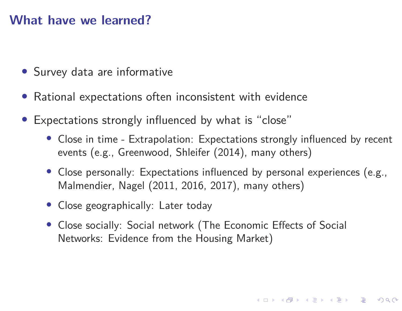#### **What have we learned?**

- Survey data are informative
- Rational expectations often inconsistent with evidence
- $\bullet$  Expectations strongly influenced by what is "close"
	- Close in time Extrapolation: Expectations strongly influenced by recentevents (e.g., Greenwood, Shleifer (2014), many others)
	- Close personally: Expectations influenced by personal experiences (e.g., Malmendier, Nagel (2011, 2016, 2017), many others)
	- Close geographically: Later today
	- Close socially: Social network (The Economic Effects of Social Networks: Evidence from the Housing Market)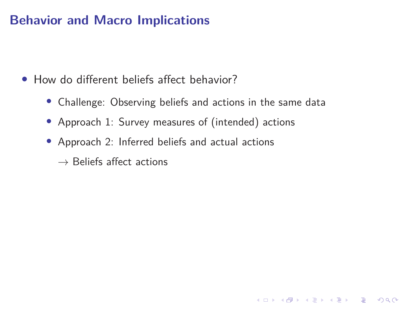#### **Behavior and Macro Implications**

• How do different beliefs affect behavior?

- Challenge: Observing beliefs and actions in the same data
- Approach 1: Survey measures of (intended) actions
- Approach 2: Inferred beliefs and actual actions

 $\rightarrow$  Beliefs affect actions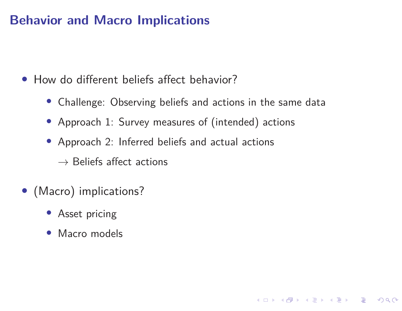### **Behavior and Macro Implications**

• How do different beliefs affect behavior?

• Challenge: Observing beliefs and actions in the same data

**◆ロト ◆ 伊 ▶ → 三 ▶ → 三 ▶ │ 三 │ ◆ 9 Q (◆** 

- Approach 1: Survey measures of (intended) actions
- Approach 2: Inferred beliefs and actual actions
	- $\rightarrow$  Beliefs affect actions
- (Macro) implications?
	- Asset pricing
	- Macro models